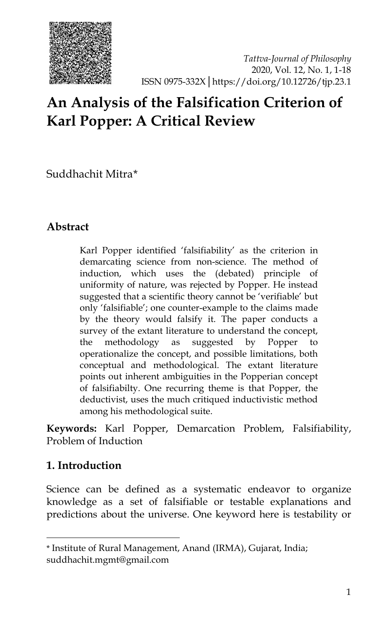

# **An Analysis of the Falsification Criterion of Karl Popper: A Critical Review**

Suddhachit Mitra[\\*](#page-0-0)

## **Abstract**

Karl Popper identified 'falsifiability' as the criterion in demarcating science from non-science. The method of induction, which uses the (debated) principle of uniformity of nature, was rejected by Popper. He instead suggested that a scientific theory cannot be 'verifiable' but only 'falsifiable'; one counter-example to the claims made by the theory would falsify it. The paper conducts a survey of the extant literature to understand the concept, the methodology as suggested by Popper to operationalize the concept, and possible limitations, both conceptual and methodological. The extant literature points out inherent ambiguities in the Popperian concept of falsifiabilty. One recurring theme is that Popper, the deductivist, uses the much critiqued inductivistic method among his methodological suite.

**Keywords:** Karl Popper, Demarcation Problem, Falsifiability, Problem of Induction

## **1. Introduction**

j

Science can be defined as a systematic endeavor to organize knowledge as a set of falsifiable or testable explanations and predictions about the universe. One keyword here is testability or

<span id="page-0-0"></span><sup>\*</sup> Institute of Rural Management, Anand (IRMA), Gujarat, India; suddhachit.mgmt@gmail.com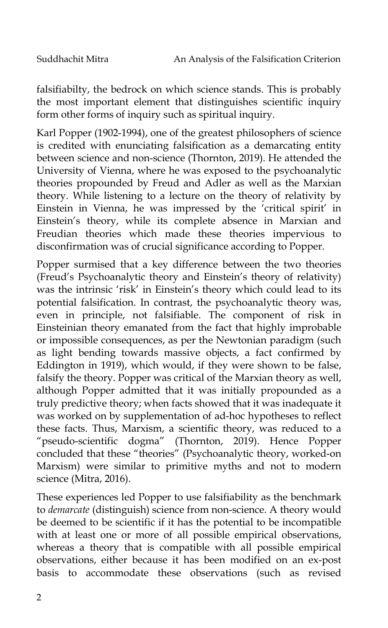falsifiabilty, the bedrock on which science stands. This is probably the most important element that distinguishes scientific inquiry form other forms of inquiry such as spiritual inquiry.

Karl Popper (1902-1994), one of the greatest philosophers of science is credited with enunciating falsification as a demarcating entity between science and non-science (Thornton, 2019). He attended the University of Vienna, where he was exposed to the psychoanalytic theories propounded by Freud and Adler as well as the Marxian theory. While listening to a lecture on the theory of relativity by Einstein in Vienna, he was impressed by the 'critical spirit' in Einstein's theory, while its complete absence in Marxian and Freudian theories which made these theories impervious to disconfirmation was of crucial significance according to Popper.

Popper surmised that a key difference between the two theories (Freud's Psychoanalytic theory and Einstein's theory of relativity) was the intrinsic 'risk' in Einstein's theory which could lead to its potential falsification. In contrast, the psychoanalytic theory was, even in principle, not falsifiable. The component of risk in Einsteinian theory emanated from the fact that highly improbable or impossible consequences, as per the Newtonian paradigm (such as light bending towards massive objects, a fact confirmed by Eddington in 1919), which would, if they were shown to be false, falsify the theory. Popper was critical of the Marxian theory as well, although Popper admitted that it was initially propounded as a truly predictive theory; when facts showed that it was inadequate it was worked on by supplementation of ad-hoc hypotheses to reflect these facts. Thus, Marxism, a scientific theory, was reduced to a "pseudo-scientific dogma" (Thornton, 2019). Hence Popper concluded that these "theories" (Psychoanalytic theory, worked-on Marxism) were similar to primitive myths and not to modern science (Mitra, 2016).

These experiences led Popper to use falsifiability as the benchmark to *demarcate* (distinguish) science from non-science. A theory would be deemed to be scientific if it has the potential to be incompatible with at least one or more of all possible empirical observations, whereas a theory that is compatible with all possible empirical observations, either because it has been modified on an ex-post basis to accommodate these observations (such as revised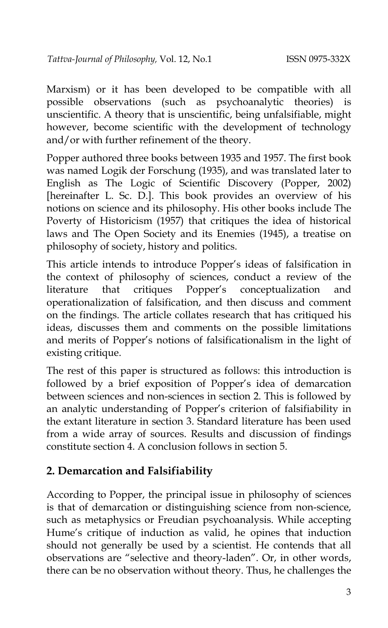Marxism) or it has been developed to be compatible with all possible observations (such as psychoanalytic theories) is unscientific. A theory that is unscientific, being unfalsifiable, might however, become scientific with the development of technology and/or with further refinement of the theory.

Popper authored three books between 1935 and 1957. The first book was named Logik der Forschung (1935), and was translated later to English as The Logic of Scientific Discovery (Popper, 2002) [hereinafter L. Sc. D.]. This book provides an overview of his notions on science and its philosophy. His other books include The Poverty of Historicism (1957) that critiques the idea of historical laws and The Open Society and its Enemies (1945), a treatise on philosophy of society, history and politics.

This article intends to introduce Popper's ideas of falsification in the context of philosophy of sciences, conduct a review of the literature that critiques Popper's conceptualization and operationalization of falsification, and then discuss and comment on the findings. The article collates research that has critiqued his ideas, discusses them and comments on the possible limitations and merits of Popper's notions of falsificationalism in the light of existing critique.

The rest of this paper is structured as follows: this introduction is followed by a brief exposition of Popper's idea of demarcation between sciences and non-sciences in section 2. This is followed by an analytic understanding of Popper's criterion of falsifiability in the extant literature in section 3. Standard literature has been used from a wide array of sources. Results and discussion of findings constitute section 4. A conclusion follows in section 5.

## **2. Demarcation and Falsifiability**

According to Popper, the principal issue in philosophy of sciences is that of demarcation or distinguishing science from non-science, such as metaphysics or Freudian psychoanalysis. While accepting Hume's critique of induction as valid, he opines that induction should not generally be used by a scientist. He contends that all observations are "selective and theory-laden". Or, in other words, there can be no observation without theory. Thus, he challenges the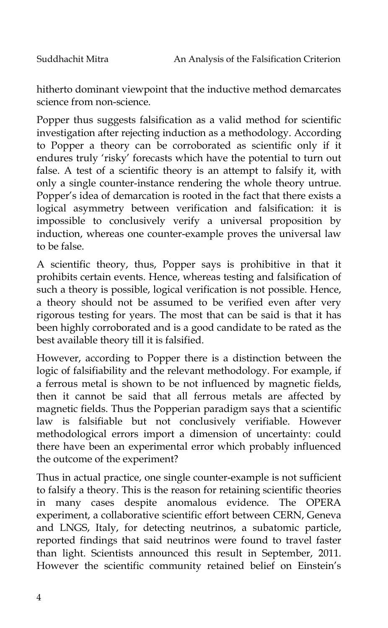hitherto dominant viewpoint that the inductive method demarcates science from non-science.

Popper thus suggests falsification as a valid method for scientific investigation after rejecting induction as a methodology. According to Popper a theory can be corroborated as scientific only if it endures truly 'risky' forecasts which have the potential to turn out false. A test of a scientific theory is an attempt to falsify it, with only a single counter-instance rendering the whole theory untrue. Popper's idea of demarcation is rooted in the fact that there exists a logical asymmetry between verification and falsification: it is impossible to conclusively verify a universal proposition by induction, whereas one counter-example proves the universal law to be false.

A scientific theory, thus, Popper says is prohibitive in that it prohibits certain events. Hence, whereas testing and falsification of such a theory is possible, logical verification is not possible. Hence, a theory should not be assumed to be verified even after very rigorous testing for years. The most that can be said is that it has been highly corroborated and is a good candidate to be rated as the best available theory till it is falsified.

However, according to Popper there is a distinction between the logic of falsifiability and the relevant methodology. For example, if a ferrous metal is shown to be not influenced by magnetic fields, then it cannot be said that all ferrous metals are affected by magnetic fields. Thus the Popperian paradigm says that a scientific law is falsifiable but not conclusively verifiable. However methodological errors import a dimension of uncertainty: could there have been an experimental error which probably influenced the outcome of the experiment?

Thus in actual practice, one single counter-example is not sufficient to falsify a theory. This is the reason for retaining scientific theories in many cases despite anomalous evidence. The OPERA experiment, a collaborative scientific effort between CERN, Geneva and LNGS, Italy, for detecting neutrinos, a subatomic particle, reported findings that said neutrinos were found to travel faster than light. Scientists announced this result in September, 2011. However the scientific community retained belief on Einstein's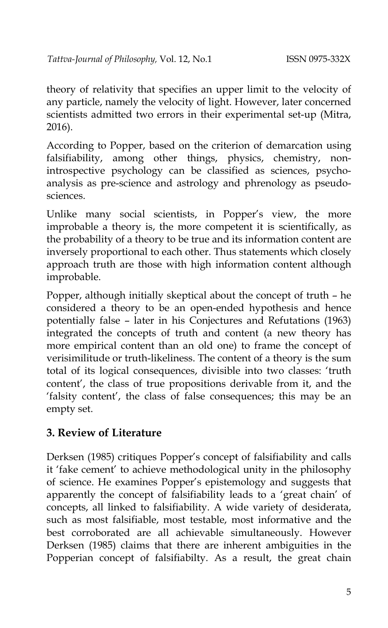theory of relativity that specifies an upper limit to the velocity of any particle, namely the velocity of light. However, later concerned scientists admitted two errors in their experimental set-up (Mitra, 2016).

According to Popper, based on the criterion of demarcation using falsifiability, among other things, physics, chemistry, nonintrospective psychology can be classified as sciences, psychoanalysis as pre-science and astrology and phrenology as pseudosciences.

Unlike many social scientists, in Popper's view, the more improbable a theory is, the more competent it is scientifically, as the probability of a theory to be true and its information content are inversely proportional to each other. Thus statements which closely approach truth are those with high information content although improbable.

Popper, although initially skeptical about the concept of truth – he considered a theory to be an open-ended hypothesis and hence potentially false – later in his Conjectures and Refutations (1963) integrated the concepts of truth and content (a new theory has more empirical content than an old one) to frame the concept of verisimilitude or truth-likeliness. The content of a theory is the sum total of its logical consequences, divisible into two classes: 'truth content', the class of true propositions derivable from it, and the 'falsity content', the class of false consequences; this may be an empty set.

#### **3. Review of Literature**

Derksen (1985) critiques Popper's concept of falsifiability and calls it 'fake cement' to achieve methodological unity in the philosophy of science. He examines Popper's epistemology and suggests that apparently the concept of falsifiability leads to a 'great chain' of concepts, all linked to falsifiability. A wide variety of desiderata, such as most falsifiable, most testable, most informative and the best corroborated are all achievable simultaneously. However Derksen (1985) claims that there are inherent ambiguities in the Popperian concept of falsifiabilty. As a result, the great chain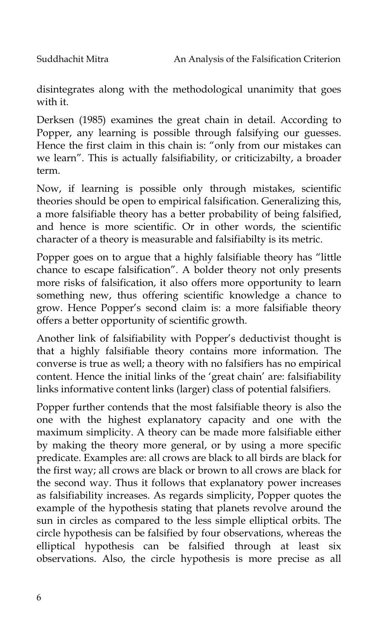disintegrates along with the methodological unanimity that goes with it.

Derksen (1985) examines the great chain in detail. According to Popper, any learning is possible through falsifying our guesses. Hence the first claim in this chain is: "only from our mistakes can we learn". This is actually falsifiability, or criticizabilty, a broader term.

Now, if learning is possible only through mistakes, scientific theories should be open to empirical falsification. Generalizing this, a more falsifiable theory has a better probability of being falsified, and hence is more scientific. Or in other words, the scientific character of a theory is measurable and falsifiabilty is its metric.

Popper goes on to argue that a highly falsifiable theory has "little chance to escape falsification". A bolder theory not only presents more risks of falsification, it also offers more opportunity to learn something new, thus offering scientific knowledge a chance to grow. Hence Popper's second claim is: a more falsifiable theory offers a better opportunity of scientific growth.

Another link of falsifiability with Popper's deductivist thought is that a highly falsifiable theory contains more information. The converse is true as well; a theory with no falsifiers has no empirical content. Hence the initial links of the 'great chain' are: falsifiability links informative content links (larger) class of potential falsifiers*.*

Popper further contends that the most falsifiable theory is also the one with the highest explanatory capacity and one with the maximum simplicity. A theory can be made more falsifiable either by making the theory more general, or by using a more specific predicate. Examples are: all crows are black to all birds are black for the first way; all crows are black or brown to all crows are black for the second way. Thus it follows that explanatory power increases as falsifiability increases. As regards simplicity, Popper quotes the example of the hypothesis stating that planets revolve around the sun in circles as compared to the less simple elliptical orbits. The circle hypothesis can be falsified by four observations, whereas the elliptical hypothesis can be falsified through at least six observations. Also, the circle hypothesis is more precise as all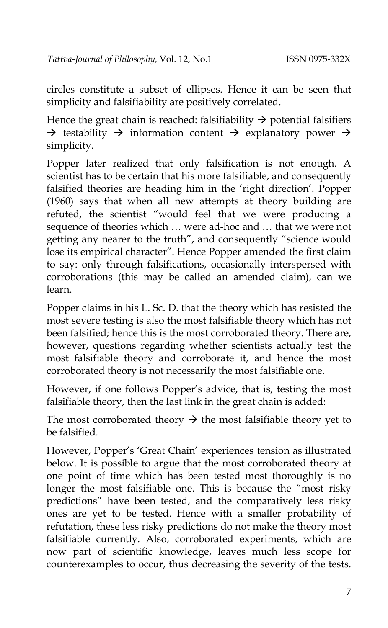circles constitute a subset of ellipses. Hence it can be seen that simplicity and falsifiability are positively correlated.

Hence the great chain is reached: falsifiability  $\rightarrow$  potential falsifiers  $\rightarrow$  testability  $\rightarrow$  information content  $\rightarrow$  explanatory power  $\rightarrow$ simplicity.

Popper later realized that only falsification is not enough. A scientist has to be certain that his more falsifiable, and consequently falsified theories are heading him in the 'right direction'. Popper (1960) says that when all new attempts at theory building are refuted, the scientist "would feel that we were producing a sequence of theories which … were ad-hoc and … that we were not getting any nearer to the truth", and consequently "science would lose its empirical character". Hence Popper amended the first claim to say: only through falsifications, occasionally interspersed with corroborations (this may be called an amended claim), can we learn.

Popper claims in his L. Sc. D. that the theory which has resisted the most severe testing is also the most falsifiable theory which has not been falsified; hence this is the most corroborated theory. There are, however, questions regarding whether scientists actually test the most falsifiable theory and corroborate it, and hence the most corroborated theory is not necessarily the most falsifiable one.

However, if one follows Popper's advice, that is, testing the most falsifiable theory, then the last link in the great chain is added:

The most corroborated theory  $\rightarrow$  the most falsifiable theory yet to be falsified.

However, Popper's 'Great Chain' experiences tension as illustrated below. It is possible to argue that the most corroborated theory at one point of time which has been tested most thoroughly is no longer the most falsifiable one. This is because the "most risky predictions" have been tested, and the comparatively less risky ones are yet to be tested. Hence with a smaller probability of refutation, these less risky predictions do not make the theory most falsifiable currently. Also, corroborated experiments, which are now part of scientific knowledge, leaves much less scope for counterexamples to occur, thus decreasing the severity of the tests.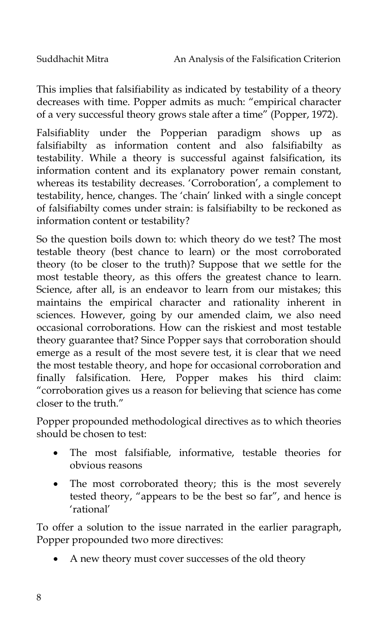This implies that falsifiability as indicated by testability of a theory decreases with time. Popper admits as much: "empirical character of a very successful theory grows stale after a time" (Popper, 1972).

Falsifiablity under the Popperian paradigm shows up as falsifiabilty as information content and also falsifiabilty as testability. While a theory is successful against falsification, its information content and its explanatory power remain constant, whereas its testability decreases. 'Corroboration', a complement to testability, hence, changes. The 'chain' linked with a single concept of falsifiabilty comes under strain: is falsifiabilty to be reckoned as information content or testability?

So the question boils down to: which theory do we test? The most testable theory (best chance to learn) or the most corroborated theory (to be closer to the truth)? Suppose that we settle for the most testable theory, as this offers the greatest chance to learn. Science, after all, is an endeavor to learn from our mistakes; this maintains the empirical character and rationality inherent in sciences. However, going by our amended claim, we also need occasional corroborations. How can the riskiest and most testable theory guarantee that? Since Popper says that corroboration should emerge as a result of the most severe test, it is clear that we need the most testable theory, and hope for occasional corroboration and finally falsification. Here, Popper makes his third claim: "corroboration gives us a reason for believing that science has come closer to the truth."

Popper propounded methodological directives as to which theories should be chosen to test:

- The most falsifiable, informative, testable theories for obvious reasons
- The most corroborated theory; this is the most severely tested theory, "appears to be the best so far", and hence is 'rational'

To offer a solution to the issue narrated in the earlier paragraph, Popper propounded two more directives:

• A new theory must cover successes of the old theory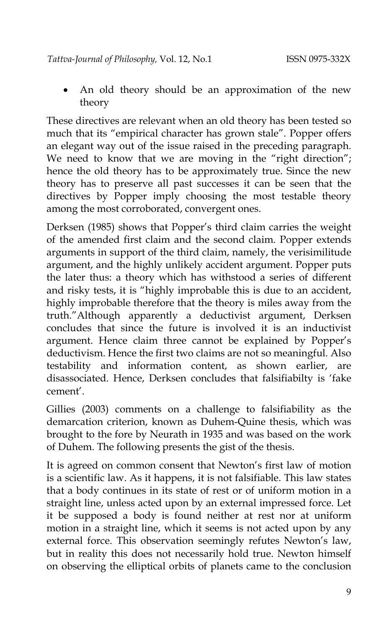• An old theory should be an approximation of the new theory

These directives are relevant when an old theory has been tested so much that its "empirical character has grown stale". Popper offers an elegant way out of the issue raised in the preceding paragraph. We need to know that we are moving in the "right direction"; hence the old theory has to be approximately true. Since the new theory has to preserve all past successes it can be seen that the directives by Popper imply choosing the most testable theory among the most corroborated, convergent ones.

Derksen (1985) shows that Popper's third claim carries the weight of the amended first claim and the second claim. Popper extends arguments in support of the third claim, namely, the verisimilitude argument, and the highly unlikely accident argument. Popper puts the later thus: a theory which has withstood a series of different and risky tests, it is "highly improbable this is due to an accident, highly improbable therefore that the theory is miles away from the truth."Although apparently a deductivist argument, Derksen concludes that since the future is involved it is an inductivist argument. Hence claim three cannot be explained by Popper's deductivism. Hence the first two claims are not so meaningful. Also testability and information content, as shown earlier, are disassociated. Hence, Derksen concludes that falsifiabilty is 'fake cement'.

Gillies (2003) comments on a challenge to falsifiability as the demarcation criterion, known as Duhem-Quine thesis, which was brought to the fore by Neurath in 1935 and was based on the work of Duhem. The following presents the gist of the thesis.

It is agreed on common consent that Newton's first law of motion is a scientific law. As it happens, it is not falsifiable. This law states that a body continues in its state of rest or of uniform motion in a straight line, unless acted upon by an external impressed force. Let it be supposed a body is found neither at rest nor at uniform motion in a straight line, which it seems is not acted upon by any external force. This observation seemingly refutes Newton's law, but in reality this does not necessarily hold true. Newton himself on observing the elliptical orbits of planets came to the conclusion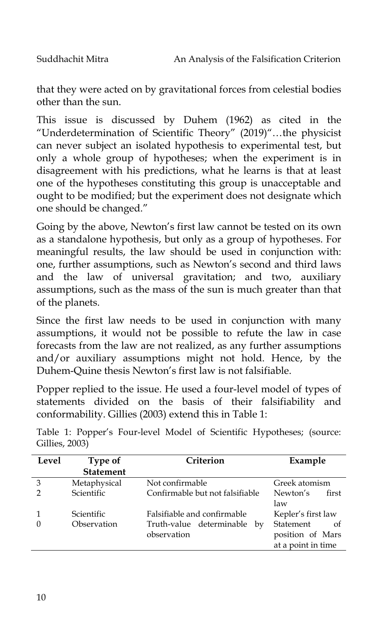that they were acted on by gravitational forces from celestial bodies other than the sun.

This issue is discussed by Duhem (1962) as cited in the "Underdetermination of Scientific Theory" (2019)"…the physicist can never subject an isolated hypothesis to experimental test, but only a whole group of hypotheses; when the experiment is in disagreement with his predictions, what he learns is that at least one of the hypotheses constituting this group is unacceptable and ought to be modified; but the experiment does not designate which one should be changed."

Going by the above, Newton's first law cannot be tested on its own as a standalone hypothesis, but only as a group of hypotheses. For meaningful results, the law should be used in conjunction with: one, further assumptions, such as Newton's second and third laws and the law of universal gravitation; and two, auxiliary assumptions, such as the mass of the sun is much greater than that of the planets.

Since the first law needs to be used in conjunction with many assumptions, it would not be possible to refute the law in case forecasts from the law are not realized, as any further assumptions and/or auxiliary assumptions might not hold. Hence, by the Duhem-Quine thesis Newton's first law is not falsifiable.

Popper replied to the issue. He used a four-level model of types of statements divided on the basis of their falsifiability and conformability. Gillies (2003) extend this in Table 1:

| Level | Type of           | Criterion                       | Example            |
|-------|-------------------|---------------------------------|--------------------|
|       | <b>Statement</b>  |                                 |                    |
| 3     | Metaphysical      | Not confirmable                 | Greek atomism      |
|       | <b>Scientific</b> | Confirmable but not falsifiable | Newton's<br>first  |
|       |                   |                                 | law                |
|       | Scientific        | Falsifiable and confirmable     | Kepler's first law |
|       | Observation       | Truth-value determinable by     | Statement<br>- of  |
|       |                   | observation                     | position of Mars   |
|       |                   |                                 | at a point in time |

Table 1: Popper's Four-level Model of Scientific Hypotheses; (source: Gillies, 2003)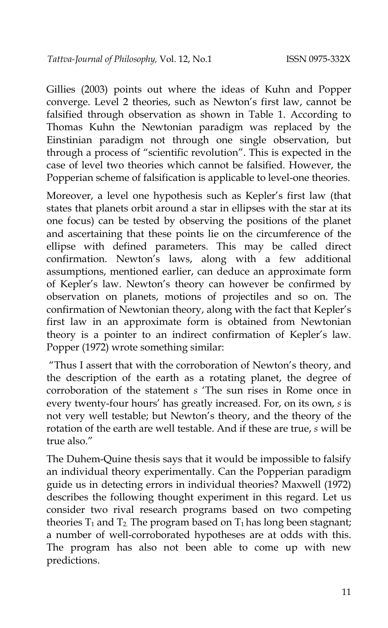Gillies (2003) points out where the ideas of Kuhn and Popper converge. Level 2 theories, such as Newton's first law, cannot be falsified through observation as shown in Table 1. According to Thomas Kuhn the Newtonian paradigm was replaced by the Einstinian paradigm not through one single observation, but through a process of "scientific revolution". This is expected in the case of level two theories which cannot be falsified. However, the Popperian scheme of falsification is applicable to level-one theories.

Moreover, a level one hypothesis such as Kepler's first law (that states that planets orbit around a star in ellipses with the star at its one focus) can be tested by observing the positions of the planet and ascertaining that these points lie on the circumference of the ellipse with defined parameters. This may be called direct confirmation. Newton's laws, along with a few additional assumptions, mentioned earlier, can deduce an approximate form of Kepler's law. Newton's theory can however be confirmed by observation on planets, motions of projectiles and so on. The confirmation of Newtonian theory, along with the fact that Kepler's first law in an approximate form is obtained from Newtonian theory is a pointer to an indirect confirmation of Kepler's law. Popper (1972) wrote something similar:

"Thus I assert that with the corroboration of Newton's theory, and the description of the earth as a rotating planet, the degree of corroboration of the statement *s* 'The sun rises in Rome once in every twenty-four hours' has greatly increased. For, on its own, *s* is not very well testable; but Newton's theory, and the theory of the rotation of the earth are well testable. And if these are true, *s* will be true also."

The Duhem-Quine thesis says that it would be impossible to falsify an individual theory experimentally. Can the Popperian paradigm guide us in detecting errors in individual theories? Maxwell (1972) describes the following thought experiment in this regard. Let us consider two rival research programs based on two competing theories  $T_1$  and  $T_2$ . The program based on  $T_1$  has long been stagnant; a number of well-corroborated hypotheses are at odds with this. The program has also not been able to come up with new predictions.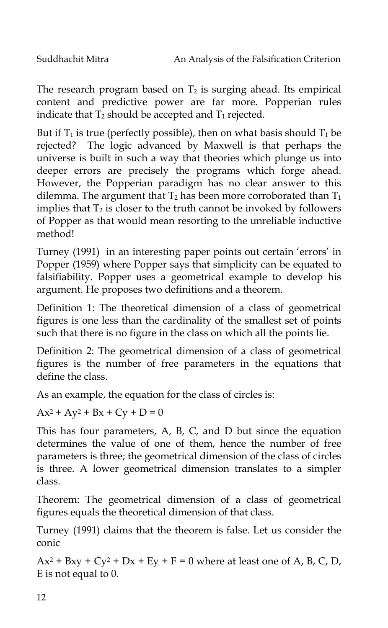The research program based on  $T_2$  is surging ahead. Its empirical content and predictive power are far more. Popperian rules indicate that  $T_2$  should be accepted and  $T_1$  rejected.

But if  $T_1$  is true (perfectly possible), then on what basis should  $T_1$  be rejected? The logic advanced by Maxwell is that perhaps the universe is built in such a way that theories which plunge us into deeper errors are precisely the programs which forge ahead. However, the Popperian paradigm has no clear answer to this dilemma. The argument that  $T_2$  has been more corroborated than  $T_1$ implies that  $T_2$  is closer to the truth cannot be invoked by followers of Popper as that would mean resorting to the unreliable inductive method!

Turney (1991) in an interesting paper points out certain 'errors' in Popper (1959) where Popper says that simplicity can be equated to falsifiability. Popper uses a geometrical example to develop his argument. He proposes two definitions and a theorem.

Definition 1: The theoretical dimension of a class of geometrical figures is one less than the cardinality of the smallest set of points such that there is no figure in the class on which all the points lie.

Definition 2: The geometrical dimension of a class of geometrical figures is the number of free parameters in the equations that define the class.

As an example, the equation for the class of circles is:

 $Ax^{2} + Ay^{2} + Bx + Cy + D = 0$ 

This has four parameters, A, B, C, and D but since the equation determines the value of one of them, hence the number of free parameters is three; the geometrical dimension of the class of circles is three. A lower geometrical dimension translates to a simpler class.

Theorem: The geometrical dimension of a class of geometrical figures equals the theoretical dimension of that class.

Turney (1991) claims that the theorem is false. Let us consider the conic

 $Ax^2 + Bxy + Cy^2 + Dx + Ey + F = 0$  where at least one of A, B, C, D, E is not equal to 0.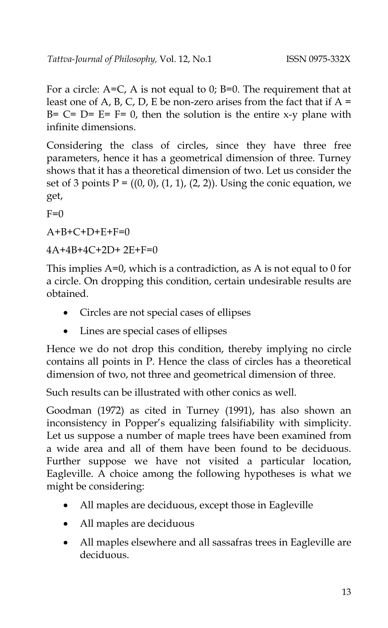For a circle:  $A=C$ , A is not equal to 0;  $B=0$ . The requirement that at least one of A, B, C, D, E be non-zero arises from the fact that if  $A =$ B=  $C=$   $D=$   $E=$   $F=$  0, then the solution is the entire x-y plane with infinite dimensions.

Considering the class of circles, since they have three free parameters, hence it has a geometrical dimension of three. Turney shows that it has a theoretical dimension of two. Let us consider the set of 3 points  $P = ((0, 0), (1, 1), (2, 2))$ . Using the conic equation, we get,

 $F=0$ 

 $A+B+C+D+F+F=0$ 

4A+4B+4C+2D+ 2E+F=0

This implies A=0, which is a contradiction, as A is not equal to 0 for a circle. On dropping this condition, certain undesirable results are obtained.

- Circles are not special cases of ellipses
- Lines are special cases of ellipses

Hence we do not drop this condition, thereby implying no circle contains all points in P. Hence the class of circles has a theoretical dimension of two, not three and geometrical dimension of three.

Such results can be illustrated with other conics as well.

Goodman (1972) as cited in Turney (1991), has also shown an inconsistency in Popper's equalizing falsifiability with simplicity. Let us suppose a number of maple trees have been examined from a wide area and all of them have been found to be deciduous. Further suppose we have not visited a particular location, Eagleville. A choice among the following hypotheses is what we might be considering:

- All maples are deciduous, except those in Eagleville
- All maples are deciduous
- All maples elsewhere and all sassafras trees in Eagleville are deciduous.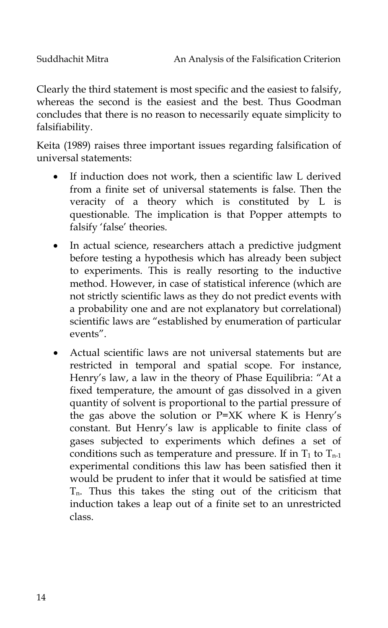Clearly the third statement is most specific and the easiest to falsify, whereas the second is the easiest and the best. Thus Goodman concludes that there is no reason to necessarily equate simplicity to falsifiability.

Keita (1989) raises three important issues regarding falsification of universal statements:

- If induction does not work, then a scientific law L derived from a finite set of universal statements is false. Then the veracity of a theory which is constituted by L is questionable. The implication is that Popper attempts to falsify 'false' theories.
- In actual science, researchers attach a predictive judgment before testing a hypothesis which has already been subject to experiments. This is really resorting to the inductive method. However, in case of statistical inference (which are not strictly scientific laws as they do not predict events with a probability one and are not explanatory but correlational) scientific laws are "established by enumeration of particular events".
- Actual scientific laws are not universal statements but are restricted in temporal and spatial scope. For instance, Henry's law, a law in the theory of Phase Equilibria: "At a fixed temperature, the amount of gas dissolved in a given quantity of solvent is proportional to the partial pressure of the gas above the solution or P=XK where K is Henry's constant. But Henry's law is applicable to finite class of gases subjected to experiments which defines a set of conditions such as temperature and pressure. If in  $T_1$  to  $T_{n-1}$ experimental conditions this law has been satisfied then it would be prudent to infer that it would be satisfied at time  $T_n$ . Thus this takes the sting out of the criticism that induction takes a leap out of a finite set to an unrestricted class.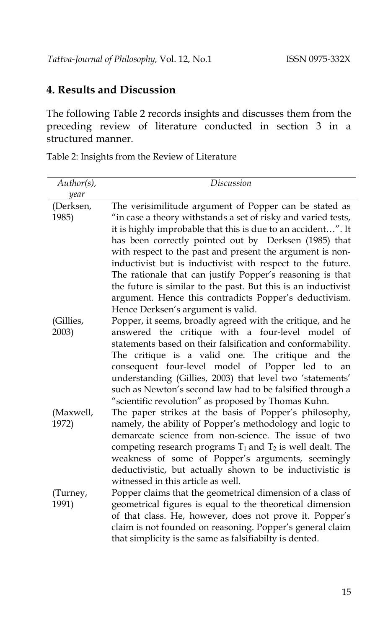#### **4. Results and Discussion**

The following Table 2 records insights and discusses them from the preceding review of literature conducted in section 3 in a structured manner.

Table 2: Insights from the Review of Literature

| $Author(s)$ ,      | Discussion                                                                                                                                                                                                                                                                                                                                                                                                                                                                     |
|--------------------|--------------------------------------------------------------------------------------------------------------------------------------------------------------------------------------------------------------------------------------------------------------------------------------------------------------------------------------------------------------------------------------------------------------------------------------------------------------------------------|
| year               |                                                                                                                                                                                                                                                                                                                                                                                                                                                                                |
| (Derksen,<br>1985) | The verisimilitude argument of Popper can be stated as<br>"in case a theory withstands a set of risky and varied tests,                                                                                                                                                                                                                                                                                                                                                        |
|                    | it is highly improbable that this is due to an accident". It<br>has been correctly pointed out by Derksen (1985) that<br>with respect to the past and present the argument is non-<br>inductivist but is inductivist with respect to the future.<br>The rationale that can justify Popper's reasoning is that<br>the future is similar to the past. But this is an inductivist<br>argument. Hence this contradicts Popper's deductivism.<br>Hence Derksen's argument is valid. |
| (Gillies,          | Popper, it seems, broadly agreed with the critique, and he                                                                                                                                                                                                                                                                                                                                                                                                                     |
| 2003)              | answered the critique with a four-level model of<br>statements based on their falsification and conformability.<br>The critique is a valid one. The critique and the<br>consequent four-level model of Popper led to<br>an<br>understanding (Gillies, 2003) that level two 'statements'<br>such as Newton's second law had to be falsified through a<br>"scientific revolution" as proposed by Thomas Kuhn.                                                                    |
| (Maxwell,<br>1972) | The paper strikes at the basis of Popper's philosophy,<br>namely, the ability of Popper's methodology and logic to<br>demarcate science from non-science. The issue of two<br>competing research programs $T_1$ and $T_2$ is well dealt. The<br>weakness of some of Popper's arguments, seemingly<br>deductivistic, but actually shown to be inductivistic is<br>witnessed in this article as well.                                                                            |
| (Turney,<br>1991)  | Popper claims that the geometrical dimension of a class of<br>geometrical figures is equal to the theoretical dimension<br>of that class. He, however, does not prove it. Popper's<br>claim is not founded on reasoning. Popper's general claim<br>that simplicity is the same as falsifiabilty is dented.                                                                                                                                                                     |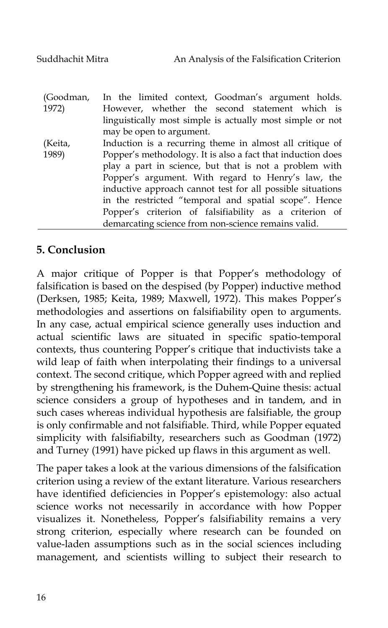| (Goodman, | In the limited context, Goodman's argument holds.           |
|-----------|-------------------------------------------------------------|
| 1972)     | However, whether the second statement which is              |
|           | linguistically most simple is actually most simple or not   |
|           | may be open to argument.                                    |
| (Keita,   | Induction is a recurring theme in almost all critique of    |
| 1989)     | Popper's methodology. It is also a fact that induction does |
|           | play a part in science, but that is not a problem with      |
|           | Popper's argument. With regard to Henry's law, the          |
|           | inductive approach cannot test for all possible situations  |
|           | in the restricted "temporal and spatial scope". Hence       |
|           | Popper's criterion of falsifiability as a criterion of      |
|           | demarcating science from non-science remains valid.         |

#### **5. Conclusion**

A major critique of Popper is that Popper's methodology of falsification is based on the despised (by Popper) inductive method (Derksen, 1985; Keita, 1989; Maxwell, 1972). This makes Popper's methodologies and assertions on falsifiability open to arguments. In any case, actual empirical science generally uses induction and actual scientific laws are situated in specific spatio-temporal contexts, thus countering Popper's critique that inductivists take a wild leap of faith when interpolating their findings to a universal context. The second critique, which Popper agreed with and replied by strengthening his framework, is the Duhem-Quine thesis: actual science considers a group of hypotheses and in tandem, and in such cases whereas individual hypothesis are falsifiable, the group is only confirmable and not falsifiable. Third, while Popper equated simplicity with falsifiabilty, researchers such as Goodman (1972) and Turney (1991) have picked up flaws in this argument as well.

The paper takes a look at the various dimensions of the falsification criterion using a review of the extant literature. Various researchers have identified deficiencies in Popper's epistemology: also actual science works not necessarily in accordance with how Popper visualizes it. Nonetheless, Popper's falsifiability remains a very strong criterion, especially where research can be founded on value-laden assumptions such as in the social sciences including management, and scientists willing to subject their research to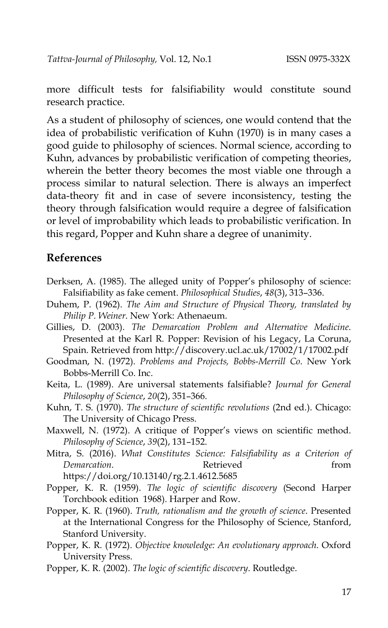more difficult tests for falsifiability would constitute sound research practice.

As a student of philosophy of sciences, one would contend that the idea of probabilistic verification of Kuhn (1970) is in many cases a good guide to philosophy of sciences. Normal science, according to Kuhn, advances by probabilistic verification of competing theories, wherein the better theory becomes the most viable one through a process similar to natural selection. There is always an imperfect data-theory fit and in case of severe inconsistency, testing the theory through falsification would require a degree of falsification or level of improbability which leads to probabilistic verification. In this regard, Popper and Kuhn share a degree of unanimity.

#### **References**

- Derksen, A. (1985). The alleged unity of Popper's philosophy of science: Falsifiability as fake cement. *Philosophical Studies*, *48*(3), 313–336.
- Duhem, P. (1962). *The Aim and Structure of Physical Theory, translated by Philip P. Weiner*. New York: Athenaeum.
- Gillies, D. (2003). *The Demarcation Problem and Alternative Medicine*. Presented at the Karl R. Popper: Revision of his Legacy, La Coruna, Spain. Retrieved from http://discovery.ucl.ac.uk/17002/1/17002.pdf
- Goodman, N. (1972). *Problems and Projects, Bobbs-Merrill Co*. New York Bobbs-Merrill Co. Inc.
- Keita, L. (1989). Are universal statements falsifiable? *Journal for General Philosophy of Science*, *20*(2), 351–366.
- Kuhn, T. S. (1970). *The structure of scientific revolutions* (2nd ed.). Chicago: The University of Chicago Press.
- Maxwell, N. (1972). A critique of Popper's views on scientific method. *Philosophy of Science*, *39*(2), 131–152.
- Mitra, S. (2016). *What Constitutes Science: Falsifiability as a Criterion of Demarcation.* Retrieved from https://doi.org/10.13140/rg.2.1.4612.5685
- Popper, K. R. (1959). *The logic of scientific discovery* (Second Harper Torchbook edition 1968). Harper and Row.
- Popper, K. R. (1960). *Truth, rationalism and the growth of science*. Presented at the International Congress for the Philosophy of Science, Stanford, Stanford University.
- Popper, K. R. (1972). *Objective knowledge: An evolutionary approach*. Oxford University Press.
- Popper, K. R. (2002). *The logic of scientific discovery*. Routledge.